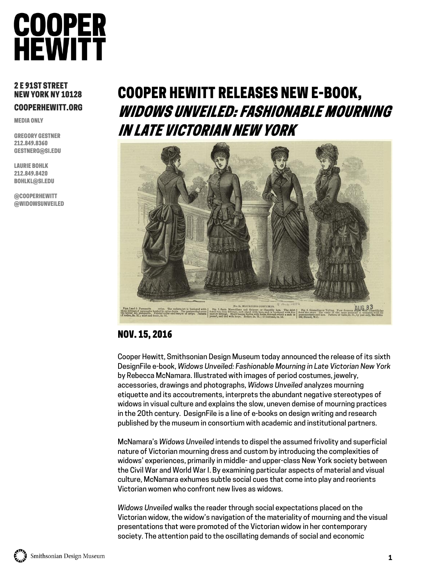

#### 2 E 91ST STREET NEW YORK NY 10128 COOPERHEWITT.ORG

MEDIA ONLY

GREGORY GESTNER 212.849.8360 GESTNERG@SI.EDU

LAURIE BOHLK 212.849.8420 [BOHLKL@SI.EDU](mailto:Northropj@si.edu)

@COOPERHEWITT @WIDOWSUNVEILED

# COOPER HEWITT RELEASES NEW E-BOOK, WIDOWS UNVEILED: FASHIONABLE MOURNING IN LATE VICTORIAN NEW YORK



### NOV. 15, 2016

Cooper Hewitt, Smithsonian Design Museum today announced the release of its sixth DesignFile e-book, *Widows Unveiled: Fashionable Mourning in Late Victorian New York*  by Rebecca McNamara. Illustrated with images of period costumes, jewelry, accessories, drawings and photographs, *Widows Unveiled* analyzes mourning etiquette and its accoutrements, interprets the abundant negative stereotypes of widows in visual culture and explains the slow, uneven demise of mourning practices in the 20th century. DesignFile is a line of e-books on design writing and research published by the museum in consortium with academic and institutional partners.

McNamara's *Widows Unveiled* intends to dispel the assumed frivolity and superficial nature of Victorian mourning dress and custom by introducing the complexities of widows' experiences, primarily in middle- and upper-class New York society between the Civil War and World War I. By examining particular aspects of material and visual culture, McNamara exhumes subtle social cues that come into play and reorients Victorian women who confront new lives as widows.

*Widows Unveiled* walks the reader through social expectations placed on the Victorian widow, the widow's navigation of the materiality of mourning and the visual presentations that were promoted of the Victorian widow in her contemporary society. The attention paid to the oscillating demands of social and economic